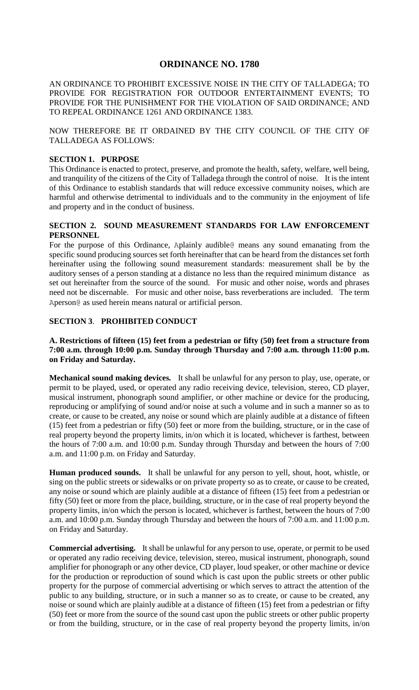# **ORDINANCE NO. 1780**

AN ORDINANCE TO PROHIBIT EXCESSIVE NOISE IN THE CITY OF TALLADEGA; TO PROVIDE FOR REGISTRATION FOR OUTDOOR ENTERTAINMENT EVENTS; TO PROVIDE FOR THE PUNISHMENT FOR THE VIOLATION OF SAID ORDINANCE; AND TO REPEAL ORDINANCE 1261 AND ORDINANCE 1383.

NOW THEREFORE BE IT ORDAINED BY THE CITY COUNCIL OF THE CITY OF TALLADEGA AS FOLLOWS:

### **SECTION 1. PURPOSE**

This Ordinance is enacted to protect, preserve, and promote the health, safety, welfare, well being, and tranquility of the citizens of the City of Talladega through the control of noise. It is the intent of this Ordinance to establish standards that will reduce excessive community noises, which are harmful and otherwise detrimental to individuals and to the community in the enjoyment of life and property and in the conduct of business.

### **SECTION 2. SOUND MEASUREMENT STANDARDS FOR LAW ENFORCEMENT PERSONNEL**

For the purpose of this Ordinance, Aplainly audible@ means any sound emanating from the specific sound producing sources set forth hereinafter that can be heard from the distances set forth hereinafter using the following sound measurement standards: measurement shall be by the auditory senses of a person standing at a distance no less than the required minimum distance as set out hereinafter from the source of the sound. For music and other noise, words and phrases need not be discernable. For music and other noise, bass reverberations are included. The term Aperson@ as used herein means natural or artificial person.

## **SECTION 3**. **PROHIBITED CONDUCT**

### **A. Restrictions of fifteen (15) feet from a pedestrian or fifty (50) feet from a structure from 7:00 a.m. through 10:00 p.m. Sunday through Thursday and 7:00 a.m. through 11:00 p.m. on Friday and Saturday.**

**Mechanical sound making devices***.* It shall be unlawful for any person to play, use, operate, or permit to be played, used, or operated any radio receiving device, television, stereo, CD player, musical instrument, phonograph sound amplifier, or other machine or device for the producing, reproducing or amplifying of sound and/or noise at such a volume and in such a manner so as to create, or cause to be created, any noise or sound which are plainly audible at a distance of fifteen (15) feet from a pedestrian or fifty (50) feet or more from the building, structure, or in the case of real property beyond the property limits, in/on which it is located, whichever is farthest, between the hours of 7:00 a.m. and 10:00 p.m. Sunday through Thursday and between the hours of 7:00 a.m. and 11:00 p.m. on Friday and Saturday.

**Human produced sounds.** It shall be unlawful for any person to yell, shout, hoot, whistle, or sing on the public streets or sidewalks or on private property so as to create, or cause to be created, any noise or sound which are plainly audible at a distance of fifteen (15) feet from a pedestrian or fifty (50) feet or more from the place, building, structure, or in the case of real property beyond the property limits, in/on which the person is located, whichever is farthest, between the hours of 7:00 a.m. and 10:00 p.m. Sunday through Thursday and between the hours of 7:00 a.m. and 11:00 p.m. on Friday and Saturday.

**Commercial advertising.** It shall be unlawful for any person to use, operate, or permit to be used or operated any radio receiving device, television, stereo, musical instrument, phonograph, sound amplifier for phonograph or any other device, CD player, loud speaker, or other machine or device for the production or reproduction of sound which is cast upon the public streets or other public property for the purpose of commercial advertising or which serves to attract the attention of the public to any building, structure, or in such a manner so as to create, or cause to be created, any noise or sound which are plainly audible at a distance of fifteen (15) feet from a pedestrian or fifty (50) feet or more from the source of the sound cast upon the public streets or other public property or from the building, structure, or in the case of real property beyond the property limits, in/on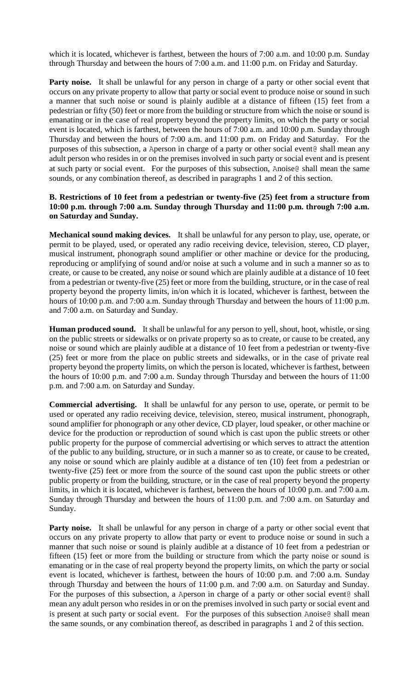which it is located, whichever is farthest, between the hours of 7:00 a.m. and 10:00 p.m. Sunday through Thursday and between the hours of 7:00 a.m. and 11:00 p.m. on Friday and Saturday.

Party noise. It shall be unlawful for any person in charge of a party or other social event that occurs on any private property to allow that party or social event to produce noise or sound in such a manner that such noise or sound is plainly audible at a distance of fifteen (15) feet from a pedestrian or fifty (50) feet or more from the building or structure from which the noise or sound is emanating or in the case of real property beyond the property limits, on which the party or social event is located, which is farthest, between the hours of 7:00 a.m. and 10:00 p.m. Sunday through Thursday and between the hours of 7:00 a.m. and 11:00 p.m. on Friday and Saturday. For the purposes of this subsection, a Aperson in charge of a party or other social event@ shall mean any adult person who resides in or on the premises involved in such party or social event and is present at such party or social event. For the purposes of this subsection, Anoise@ shall mean the same sounds, or any combination thereof, as described in paragraphs 1 and 2 of this section.

### **B. Restrictions of 10 feet from a pedestrian or twenty-five (25) feet from a structure from 10:00 p.m. through 7:00 a.m. Sunday through Thursday and 11:00 p.m. through 7:00 a.m. on Saturday and Sunday.**

**Mechanical sound making devices.** It shall be unlawful for any person to play, use, operate, or permit to be played, used, or operated any radio receiving device, television, stereo, CD player, musical instrument, phonograph sound amplifier or other machine or device for the producing, reproducing or amplifying of sound and/or noise at such a volume and in such a manner so as to create, or cause to be created, any noise or sound which are plainly audible at a distance of 10 feet from a pedestrian or twenty-five (25) feet or more from the building, structure, or in the case of real property beyond the property limits, in/on which it is located, whichever is farthest, between the hours of 10:00 p.m. and 7:00 a.m. Sunday through Thursday and between the hours of 11:00 p.m. and 7:00 a.m. on Saturday and Sunday.

**Human produced sound.**It shall be unlawful for any person to yell, shout, hoot, whistle, or sing on the public streets or sidewalks or on private property so as to create, or cause to be created, any noise or sound which are plainly audible at a distance of 10 feet from a pedestrian or twenty-five (25) feet or more from the place on public streets and sidewalks, or in the case of private real property beyond the property limits, on which the person is located, whichever is farthest, between the hours of 10:00 p.m. and 7:00 a.m. Sunday through Thursday and between the hours of 11:00 p.m. and 7:00 a.m. on Saturday and Sunday.

**Commercial advertising.** It shall be unlawful for any person to use, operate, or permit to be used or operated any radio receiving device, television, stereo, musical instrument, phonograph, sound amplifier for phonograph or any other device, CD player, loud speaker, or other machine or device for the production or reproduction of sound which is cast upon the public streets or other public property for the purpose of commercial advertising or which serves to attract the attention of the public to any building, structure, or in such a manner so as to create, or cause to be created, any noise or sound which are plainly audible at a distance of ten (10) feet from a pedestrian or twenty-five (25) feet or more from the source of the sound cast upon the public streets or other public property or from the building, structure, or in the case of real property beyond the property limits, in which it is located, whichever is farthest, between the hours of 10:00 p.m. and 7:00 a.m. Sunday through Thursday and between the hours of 11:00 p.m. and 7:00 a.m. on Saturday and Sunday.

Party noise. It shall be unlawful for any person in charge of a party or other social event that occurs on any private property to allow that party or event to produce noise or sound in such a manner that such noise or sound is plainly audible at a distance of 10 feet from a pedestrian or fifteen (15) feet or more from the building or structure from which the party noise or sound is emanating or in the case of real property beyond the property limits, on which the party or social event is located, whichever is farthest, between the hours of 10:00 p.m. and 7:00 a.m. Sunday through Thursday and between the hours of 11:00 p.m. and 7:00 a.m. on Saturday and Sunday. For the purposes of this subsection, a Aperson in charge of a party or other social event@ shall mean any adult person who resides in or on the premises involved in such party or social event and is present at such party or social event. For the purposes of this subsection Anoise@ shall mean the same sounds, or any combination thereof, as described in paragraphs 1 and 2 of this section.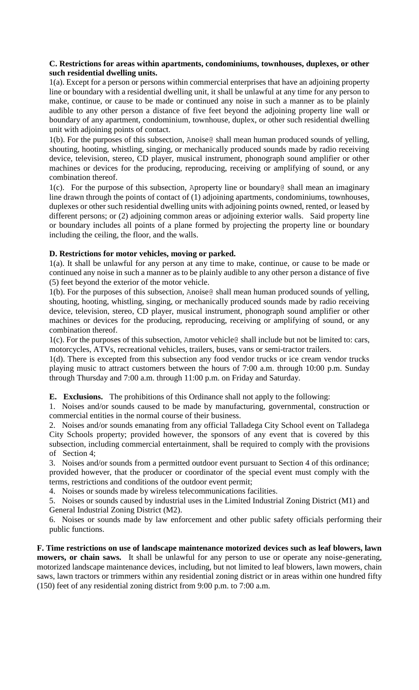### **C. Restrictions for areas within apartments, condominiums, townhouses, duplexes, or other such residential dwelling units.**

1(a). Except for a person or persons within commercial enterprises that have an adjoining property line or boundary with a residential dwelling unit, it shall be unlawful at any time for any person to make, continue, or cause to be made or continued any noise in such a manner as to be plainly audible to any other person a distance of five feet beyond the adjoining property line wall or boundary of any apartment, condominium, townhouse, duplex, or other such residential dwelling unit with adjoining points of contact.

1(b). For the purposes of this subsection, Anoise@ shall mean human produced sounds of yelling, shouting, hooting, whistling, singing, or mechanically produced sounds made by radio receiving device, television, stereo, CD player, musical instrument, phonograph sound amplifier or other machines or devices for the producing, reproducing, receiving or amplifying of sound, or any combination thereof.

1(c). For the purpose of this subsection, Aproperty line or boundary@ shall mean an imaginary line drawn through the points of contact of (1) adjoining apartments, condominiums, townhouses, duplexes or other such residential dwelling units with adjoining points owned, rented, or leased by different persons; or (2) adjoining common areas or adjoining exterior walls. Said property line or boundary includes all points of a plane formed by projecting the property line or boundary including the ceiling, the floor, and the walls.

# **D. Restrictions for motor vehicles, moving or parked.**

1(a). It shall be unlawful for any person at any time to make, continue, or cause to be made or continued any noise in such a manner as to be plainly audible to any other person a distance of five (5) feet beyond the exterior of the motor vehicle.

1(b). For the purposes of this subsection, Anoise@ shall mean human produced sounds of yelling, shouting, hooting, whistling, singing, or mechanically produced sounds made by radio receiving device, television, stereo, CD player, musical instrument, phonograph sound amplifier or other machines or devices for the producing, reproducing, receiving or amplifying of sound, or any combination thereof.

1(c). For the purposes of this subsection, Amotor vehicle@ shall include but not be limited to: cars, motorcycles, ATVs, recreational vehicles, trailers, buses, vans or semi-tractor trailers.

1(d). There is excepted from this subsection any food vendor trucks or ice cream vendor trucks playing music to attract customers between the hours of 7:00 a.m. through 10:00 p.m. Sunday through Thursday and 7:00 a.m. through 11:00 p.m. on Friday and Saturday.

**E. Exclusions.** The prohibitions of this Ordinance shall not apply to the following:

1. Noises and/or sounds caused to be made by manufacturing, governmental, construction or commercial entities in the normal course of their business.

2. Noises and/or sounds emanating from any official Talladega City School event on Talladega City Schools property; provided however, the sponsors of any event that is covered by this subsection, including commercial entertainment, shall be required to comply with the provisions of Section 4;

3. Noises and/or sounds from a permitted outdoor event pursuant to Section 4 of this ordinance; provided however, that the producer or coordinator of the special event must comply with the terms, restrictions and conditions of the outdoor event permit;

4. Noises or sounds made by wireless telecommunications facilities.

5. Noises or sounds caused by industrial uses in the Limited Industrial Zoning District (M1) and General Industrial Zoning District (M2).

6. Noises or sounds made by law enforcement and other public safety officials performing their public functions.

**F. Time restrictions on use of landscape maintenance motorized devices such as leaf blowers, lawn mowers, or chain saws.** It shall be unlawful for any person to use or operate any noise-generating, motorized landscape maintenance devices, including, but not limited to leaf blowers, lawn mowers, chain saws, lawn tractors or trimmers within any residential zoning district or in areas within one hundred fifty (150) feet of any residential zoning district from 9:00 p.m. to 7:00 a.m.